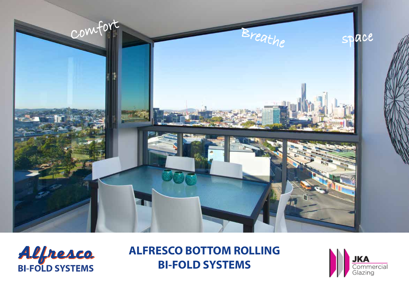



## **ALFRESCO BOTTOM ROLLING BI-FOLD SYSTEMS**

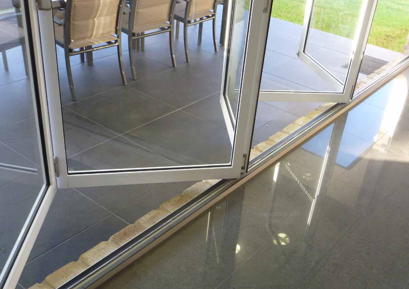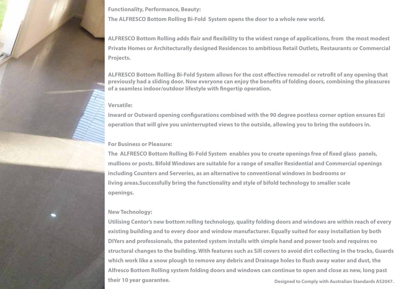**Functionality, Performance, Beauty:**

**The ALFRESCO Bottom Rolling Bi-Fold System opens the door to a whole new world.** 

**ALFRESCO Bottom Rolling adds flair and flexibility to the widest range of applications, from the most modest Private Homes or Architecturally designed Residences to ambitious Retail Outlets, Restaurants or Commercial Projects.**

**ALFRESCO Bottom Rolling Bi-Fold System allows for the cost effective remodel or retrofit of any opening that previously had a sliding door. Now everyone can enjoy the benefits of folding doors, combining the pleasures of a seamless indoor/outdoor lifestyle with fingertip operation.**

#### **Versatile:**

**Inward or Outward opening configurations combined with the 90 degree postless corner option ensures Ezi operation that will give you uninterrupted views to the outside, allowing you to bring the outdoors in.**

### **For Business or Pleasure:**

**The ALFRESCO Bottom Rolling Bi-Fold System enables you to create openings free of fixed glass panels, mullions or posts. Bifold Windows are suitable for a range of smaller Residential and Commercial openings including Counters and Serveries, as an alternative to conventional windows in bedrooms or living areas.Successfully bring the functionality and style of bifold technology to smaller scale openings.**

#### **New Technology:**

**Utilising Centor's new bottom rolling technology, quality folding doors and windows are within reach of every existing building and to every door and window manufacturer. Equally suited for easy installation by both DIYers and professionals, the patented system installs with simple hand and power tools and requires no structural changes to the building. With features such as Sill covers to avoid dirt collecting in the tracks, Guards which work like a snow plough to remove any debris and Drainage holes to flush away water and dust, the Alfresco Bottom Rolling system folding doors and windows can continue to open and close as new, long past their 10 year guarantee. Designed to Comply with Australian Standards AS2047.**